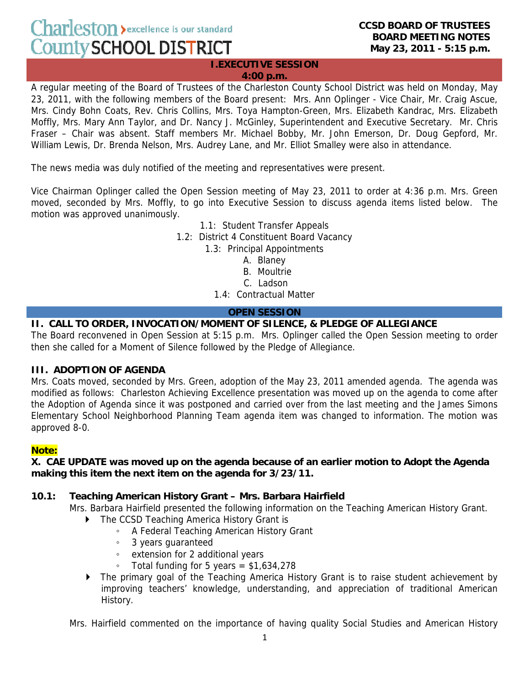Charleston > excellence is our standard County SCHOOL DISTRICT

**I.EXECUTIVE SESSION 4:00 p.m.**

A regular meeting of the Board of Trustees of the Charleston County School District was held on Monday, May 23, 2011, with the following members of the Board present: Mrs. Ann Oplinger - Vice Chair, Mr. Craig Ascue, Mrs. Cindy Bohn Coats, Rev. Chris Collins, Mrs. Toya Hampton-Green, Mrs. Elizabeth Kandrac, Mrs. Elizabeth Moffly, Mrs. Mary Ann Taylor, and Dr. Nancy J. McGinley, Superintendent and Executive Secretary. Mr. Chris Fraser – Chair was absent. Staff members Mr. Michael Bobby, Mr. John Emerson, Dr. Doug Gepford, Mr. William Lewis, Dr. Brenda Nelson, Mrs. Audrey Lane, and Mr. Elliot Smalley were also in attendance.

The news media was duly notified of the meeting and representatives were present.

Vice Chairman Oplinger called the Open Session meeting of May 23, 2011 to order at 4:36 p.m. Mrs. Green moved, seconded by Mrs. Moffly, to go into Executive Session to discuss agenda items listed below. The motion was approved unanimously.

> 1.1: Student Transfer Appeals 1.2: District 4 Constituent Board Vacancy 1.3: Principal Appointments A. Blaney B. Moultrie C. Ladson

> > 1.4: Contractual Matter

## **OPEN SESSION**

# **II. CALL TO ORDER, INVOCATION/MOMENT OF SILENCE, & PLEDGE OF ALLEGIANCE**

The Board reconvened in Open Session at 5:15 p.m. Mrs. Oplinger called the Open Session meeting to order then she called for a Moment of Silence followed by the Pledge of Allegiance.

### **III. ADOPTION OF AGENDA**

Mrs. Coats moved, seconded by Mrs. Green, adoption of the May 23, 2011 amended agenda. The agenda was modified as follows: Charleston Achieving Excellence presentation was moved up on the agenda to come after the Adoption of Agenda since it was postponed and carried over from the last meeting and the James Simons Elementary School Neighborhood Planning Team agenda item was changed to information. The motion was approved 8-0.

## **Note:**

### **X. CAE UPDATE was moved up on the agenda because of an earlier motion to Adopt the Agenda making this item the next item on the agenda for 3/23/11.**

## **10.1: Teaching American History Grant – Mrs. Barbara Hairfield**

Mrs. Barbara Hairfield presented the following information on the Teaching American History Grant.

- ▶ The CCSD Teaching America History Grant is
	- A Federal Teaching American History Grant
	- 3 years guaranteed
	- extension for 2 additional years
	- Total funding for 5 years = \$1,634,278
- The primary goal of the Teaching America History Grant is to raise student achievement by improving teachers' knowledge, understanding, and appreciation of traditional American History.

Mrs. Hairfield commented on the importance of having quality Social Studies and American History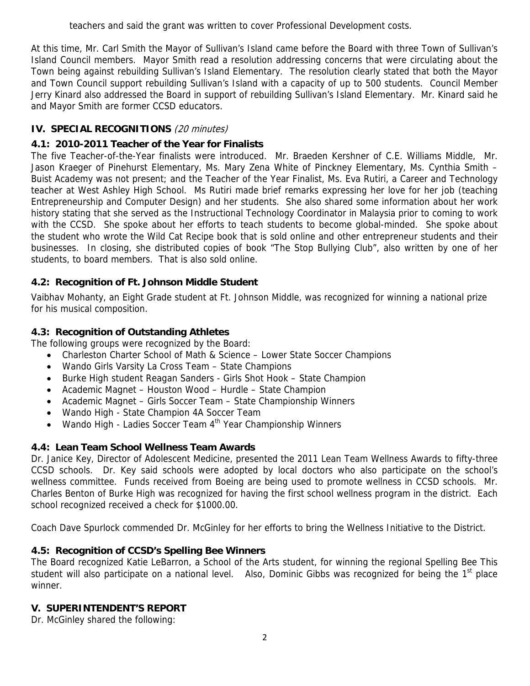teachers and said the grant was written to cover Professional Development costs.

At this time, Mr. Carl Smith the Mayor of Sullivan's Island came before the Board with three Town of Sullivan's Island Council members. Mayor Smith read a resolution addressing concerns that were circulating about the Town being against rebuilding Sullivan's Island Elementary. The resolution clearly stated that both the Mayor and Town Council support rebuilding Sullivan's Island with a capacity of up to 500 students. Council Member Jerry Kinard also addressed the Board in support of rebuilding Sullivan's Island Elementary. Mr. Kinard said he and Mayor Smith are former CCSD educators.

# **IV. SPECIAL RECOGNITIONS** (20 minutes)

# **4.1: 2010-2011 Teacher of the Year for Finalists**

The five Teacher-of-the-Year finalists were introduced. Mr. Braeden Kershner of C.E. Williams Middle, Mr. Jason Kraeger of Pinehurst Elementary, Ms. Mary Zena White of Pinckney Elementary, Ms. Cynthia Smith – Buist Academy was not present; and the Teacher of the Year Finalist, Ms. Eva Rutiri, a Career and Technology teacher at West Ashley High School. Ms Rutiri made brief remarks expressing her love for her job (teaching Entrepreneurship and Computer Design) and her students. She also shared some information about her work history stating that she served as the Instructional Technology Coordinator in Malaysia prior to coming to work with the CCSD. She spoke about her efforts to teach students to become global-minded. She spoke about the student who wrote the Wild Cat Recipe book that is sold online and other entrepreneur students and their businesses. In closing, she distributed copies of book "The Stop Bullying Club", also written by one of her students, to board members. That is also sold online.

# **4.2: Recognition of Ft. Johnson Middle Student**

Vaibhav Mohanty, an Eight Grade student at Ft. Johnson Middle, was recognized for winning a national prize for his musical composition.

## **4.3: Recognition of Outstanding Athletes**

The following groups were recognized by the Board:

- Charleston Charter School of Math & Science Lower State Soccer Champions
- Wando Girls Varsity La Cross Team State Champions
- Burke High student Reagan Sanders Girls Shot Hook State Champion
- Academic Magnet Houston Wood Hurdle State Champion
- Academic Magnet Girls Soccer Team State Championship Winners
- Wando High State Champion 4A Soccer Team
- Wando High Ladies Soccer Team 4<sup>th</sup> Year Championship Winners

## **4.4: Lean Team School Wellness Team Awards**

Dr. Janice Key, Director of Adolescent Medicine, presented the 2011 Lean Team Wellness Awards to fifty-three CCSD schools. Dr. Key said schools were adopted by local doctors who also participate on the school's wellness committee. Funds received from Boeing are being used to promote wellness in CCSD schools. Mr. Charles Benton of Burke High was recognized for having the first school wellness program in the district. Each school recognized received a check for \$1000.00.

Coach Dave Spurlock commended Dr. McGinley for her efforts to bring the Wellness Initiative to the District.

## **4.5: Recognition of CCSD's Spelling Bee Winners**

The Board recognized Katie LeBarron, a School of the Arts student, for winning the regional Spelling Bee This student will also participate on a national level. Also, Dominic Gibbs was recognized for being the 1<sup>st</sup> place winner.

## **V. SUPERINTENDENT'S REPORT**

Dr. McGinley shared the following: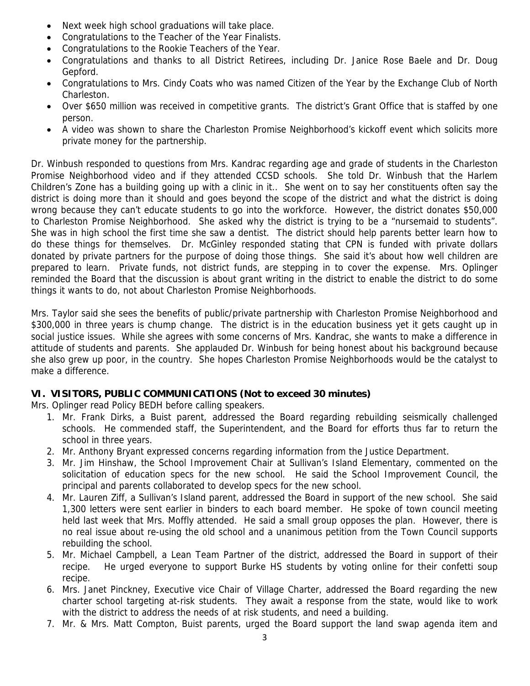- Next week high school graduations will take place.
- Congratulations to the Teacher of the Year Finalists.
- Congratulations to the Rookie Teachers of the Year.
- Congratulations and thanks to all District Retirees, including Dr. Janice Rose Baele and Dr. Doug Gepford.
- Congratulations to Mrs. Cindy Coats who was named Citizen of the Year by the Exchange Club of North Charleston.
- Over \$650 million was received in competitive grants. The district's Grant Office that is staffed by one person.
- A video was shown to share the Charleston Promise Neighborhood's kickoff event which solicits more private money for the partnership.

Dr. Winbush responded to questions from Mrs. Kandrac regarding age and grade of students in the Charleston Promise Neighborhood video and if they attended CCSD schools. She told Dr. Winbush that the Harlem Children's Zone has a building going up with a clinic in it.. She went on to say her constituents often say the district is doing more than it should and goes beyond the scope of the district and what the district is doing wrong because they can't educate students to go into the workforce. However, the district donates \$50,000 to Charleston Promise Neighborhood. She asked why the district is trying to be a "nursemaid to students". She was in high school the first time she saw a dentist. The district should help parents better learn how to do these things for themselves. Dr. McGinley responded stating that CPN is funded with private dollars donated by private partners for the purpose of doing those things. She said it's about how well children are prepared to learn. Private funds, not district funds, are stepping in to cover the expense. Mrs. Oplinger reminded the Board that the discussion is about grant writing in the district to enable the district to do some things it wants to do, not about Charleston Promise Neighborhoods.

Mrs. Taylor said she sees the benefits of public/private partnership with Charleston Promise Neighborhood and \$300,000 in three years is chump change. The district is in the education business yet it gets caught up in social justice issues. While she agrees with some concerns of Mrs. Kandrac, she wants to make a difference in attitude of students and parents. She applauded Dr. Winbush for being honest about his background because she also grew up poor, in the country. She hopes Charleston Promise Neighborhoods would be the catalyst to make a difference.

## **VI. VISITORS, PUBLIC COMMUNICATIONS (Not to exceed 30 minutes)**

Mrs. Oplinger read Policy BEDH before calling speakers.

- 1. Mr. Frank Dirks, a Buist parent, addressed the Board regarding rebuilding seismically challenged schools. He commended staff, the Superintendent, and the Board for efforts thus far to return the school in three years.
- 2. Mr. Anthony Bryant expressed concerns regarding information from the Justice Department.
- 3. Mr. Jim Hinshaw, the School Improvement Chair at Sullivan's Island Elementary, commented on the solicitation of education specs for the new school. He said the School Improvement Council, the principal and parents collaborated to develop specs for the new school.
- 4. Mr. Lauren Ziff, a Sullivan's Island parent, addressed the Board in support of the new school. She said 1,300 letters were sent earlier in binders to each board member. He spoke of town council meeting held last week that Mrs. Moffly attended. He said a small group opposes the plan. However, there is no real issue about re-using the old school and a unanimous petition from the Town Council supports rebuilding the school.
- 5. Mr. Michael Campbell, a Lean Team Partner of the district, addressed the Board in support of their recipe. He urged everyone to support Burke HS students by voting online for their confetti soup recipe.
- 6. Mrs. Janet Pinckney, Executive vice Chair of Village Charter, addressed the Board regarding the new charter school targeting at-risk students. They await a response from the state, would like to work with the district to address the needs of at risk students, and need a building.
- 7. Mr. & Mrs. Matt Compton, Buist parents, urged the Board support the land swap agenda item and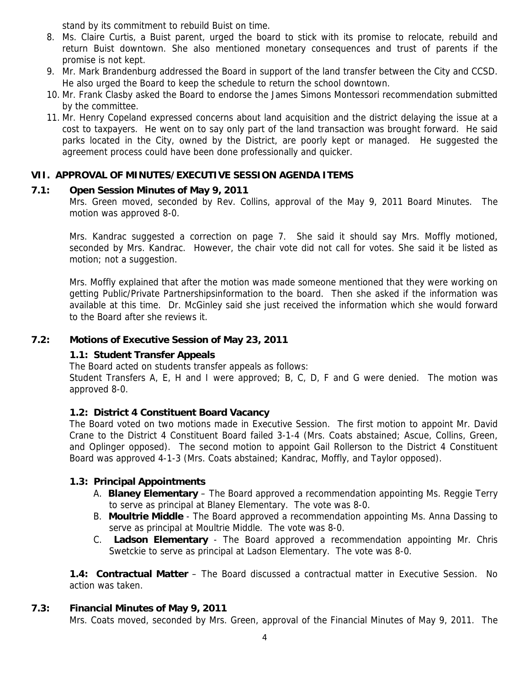stand by its commitment to rebuild Buist on time.

- 8. Ms. Claire Curtis, a Buist parent, urged the board to stick with its promise to relocate, rebuild and return Buist downtown. She also mentioned monetary consequences and trust of parents if the promise is not kept.
- 9. Mr. Mark Brandenburg addressed the Board in support of the land transfer between the City and CCSD. He also urged the Board to keep the schedule to return the school downtown.
- 10. Mr. Frank Clasby asked the Board to endorse the James Simons Montessori recommendation submitted by the committee.
- 11. Mr. Henry Copeland expressed concerns about land acquisition and the district delaying the issue at a cost to taxpayers. He went on to say only part of the land transaction was brought forward. He said parks located in the City, owned by the District, are poorly kept or managed. He suggested the agreement process could have been done professionally and quicker.

### **VII. APPROVAL OF MINUTES/EXECUTIVE SESSION AGENDA ITEMS**

### **7.1: Open Session Minutes of May 9, 2011**

Mrs. Green moved, seconded by Rev. Collins, approval of the May 9, 2011 Board Minutes. The motion was approved 8-0.

Mrs. Kandrac suggested a correction on page 7. She said it should say Mrs. Moffly motioned, seconded by Mrs. Kandrac. However, the chair vote did not call for votes. She said it be listed as motion; not a suggestion.

Mrs. Moffly explained that after the motion was made someone mentioned that they were working on getting Public/Private Partnershipsinformation to the board. Then she asked if the information was available at this time. Dr. McGinley said she just received the information which she would forward to the Board after she reviews it.

### **7.2: Motions of Executive Session of May 23, 2011**

### **1.1: Student Transfer Appeals**

The Board acted on students transfer appeals as follows:

Student Transfers A, E, H and I were approved; B, C, D, F and G were denied. The motion was approved 8-0.

### **1.2: District 4 Constituent Board Vacancy**

The Board voted on two motions made in Executive Session. The first motion to appoint Mr. David Crane to the District 4 Constituent Board failed 3-1-4 (Mrs. Coats abstained; Ascue, Collins, Green, and Oplinger opposed). The second motion to appoint Gail Rollerson to the District 4 Constituent Board was approved 4-1-3 (Mrs. Coats abstained; Kandrac, Moffly, and Taylor opposed).

### **1.3: Principal Appointments**

- A. **Blaney Elementary** The Board approved a recommendation appointing Ms. Reggie Terry to serve as principal at Blaney Elementary. The vote was 8-0.
- B. **Moultrie Middle** The Board approved a recommendation appointing Ms. Anna Dassing to serve as principal at Moultrie Middle. The vote was 8-0.
- C. **Ladson Elementary** The Board approved a recommendation appointing Mr. Chris Swetckie to serve as principal at Ladson Elementary. The vote was 8-0.

**1.4: Contractual Matter** – The Board discussed a contractual matter in Executive Session. No action was taken.

### **7.3: Financial Minutes of May 9, 2011**

Mrs. Coats moved, seconded by Mrs. Green, approval of the Financial Minutes of May 9, 2011. The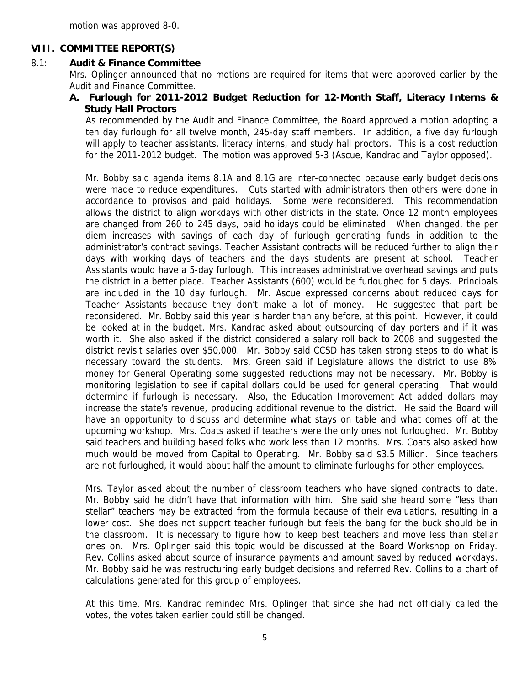motion was approved 8-0.

### **VIII. COMMITTEE REPORT(S)**

#### 8.1: **Audit & Finance Committee**

Mrs. Oplinger announced that no motions are required for items that were approved earlier by the Audit and Finance Committee.

### **A. Furlough for 2011-2012 Budget Reduction for 12-Month Staff, Literacy Interns & Study Hall Proctors**

As recommended by the Audit and Finance Committee, the Board approved a motion adopting a ten day furlough for all twelve month, 245-day staff members. In addition, a five day furlough will apply to teacher assistants, literacy interns, and study hall proctors. This is a cost reduction for the 2011-2012 budget. The motion was approved 5-3 (Ascue, Kandrac and Taylor opposed).

Mr. Bobby said agenda items 8.1A and 8.1G are inter-connected because early budget decisions were made to reduce expenditures. Cuts started with administrators then others were done in accordance to provisos and paid holidays. Some were reconsidered. This recommendation allows the district to align workdays with other districts in the state. Once 12 month employees are changed from 260 to 245 days, paid holidays could be eliminated. When changed, the per diem increases with savings of each day of furlough generating funds in addition to the administrator's contract savings. Teacher Assistant contracts will be reduced further to align their days with working days of teachers and the days students are present at school. Teacher Assistants would have a 5-day furlough. This increases administrative overhead savings and puts the district in a better place. Teacher Assistants (600) would be furloughed for 5 days. Principals are included in the 10 day furlough. Mr. Ascue expressed concerns about reduced days for Teacher Assistants because they don't make a lot of money. He suggested that part be reconsidered. Mr. Bobby said this year is harder than any before, at this point. However, it could be looked at in the budget. Mrs. Kandrac asked about outsourcing of day porters and if it was worth it. She also asked if the district considered a salary roll back to 2008 and suggested the district revisit salaries over \$50,000. Mr. Bobby said CCSD has taken strong steps to do what is necessary toward the students. Mrs. Green said if Legislature allows the district to use 8% money for General Operating some suggested reductions may not be necessary. Mr. Bobby is monitoring legislation to see if capital dollars could be used for general operating. That would determine if furlough is necessary. Also, the Education Improvement Act added dollars may increase the state's revenue, producing additional revenue to the district. He said the Board will have an opportunity to discuss and determine what stays on table and what comes off at the upcoming workshop. Mrs. Coats asked if teachers were the only ones not furloughed. Mr. Bobby said teachers and building based folks who work less than 12 months. Mrs. Coats also asked how much would be moved from Capital to Operating. Mr. Bobby said \$3.5 Million. Since teachers are not furloughed, it would about half the amount to eliminate furloughs for other employees.

Mrs. Taylor asked about the number of classroom teachers who have signed contracts to date. Mr. Bobby said he didn't have that information with him. She said she heard some "less than stellar" teachers may be extracted from the formula because of their evaluations, resulting in a lower cost. She does not support teacher furlough but feels the bang for the buck should be in the classroom. It is necessary to figure how to keep best teachers and move less than stellar ones on. Mrs. Oplinger said this topic would be discussed at the Board Workshop on Friday. Rev. Collins asked about source of insurance payments and amount saved by reduced workdays. Mr. Bobby said he was restructuring early budget decisions and referred Rev. Collins to a chart of calculations generated for this group of employees.

At this time, Mrs. Kandrac reminded Mrs. Oplinger that since she had not officially called the votes, the votes taken earlier could still be changed.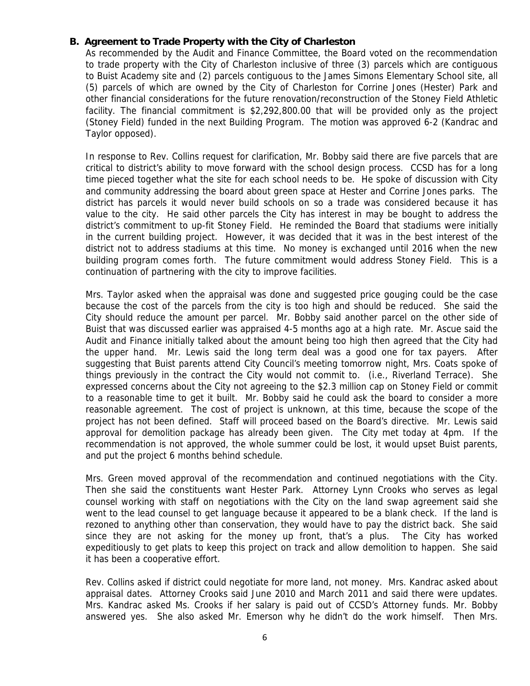### **B. Agreement to Trade Property with the City of Charleston**

As recommended by the Audit and Finance Committee, the Board voted on the recommendation to trade property with the City of Charleston inclusive of three (3) parcels which are contiguous to Buist Academy site and (2) parcels contiguous to the James Simons Elementary School site, all (5) parcels of which are owned by the City of Charleston for Corrine Jones (Hester) Park and other financial considerations for the future renovation/reconstruction of the Stoney Field Athletic facility. The financial commitment is \$2,292,800.00 that will be provided only as the project (Stoney Field) funded in the next Building Program. The motion was approved 6-2 (Kandrac and Taylor opposed).

In response to Rev. Collins request for clarification, Mr. Bobby said there are five parcels that are critical to district's ability to move forward with the school design process. CCSD has for a long time pieced together what the site for each school needs to be. He spoke of discussion with City and community addressing the board about green space at Hester and Corrine Jones parks. The district has parcels it would never build schools on so a trade was considered because it has value to the city. He said other parcels the City has interest in may be bought to address the district's commitment to up-fit Stoney Field. He reminded the Board that stadiums were initially in the current building project. However, it was decided that it was in the best interest of the district not to address stadiums at this time. No money is exchanged until 2016 when the new building program comes forth. The future commitment would address Stoney Field. This is a continuation of partnering with the city to improve facilities.

Mrs. Taylor asked when the appraisal was done and suggested price gouging could be the case because the cost of the parcels from the city is too high and should be reduced. She said the City should reduce the amount per parcel. Mr. Bobby said another parcel on the other side of Buist that was discussed earlier was appraised 4-5 months ago at a high rate. Mr. Ascue said the Audit and Finance initially talked about the amount being too high then agreed that the City had the upper hand. Mr. Lewis said the long term deal was a good one for tax payers. After suggesting that Buist parents attend City Council's meeting tomorrow night, Mrs. Coats spoke of things previously in the contract the City would not commit to. (i.e., Riverland Terrace). She expressed concerns about the City not agreeing to the \$2.3 million cap on Stoney Field or commit to a reasonable time to get it built. Mr. Bobby said he could ask the board to consider a more reasonable agreement. The cost of project is unknown, at this time, because the scope of the project has not been defined. Staff will proceed based on the Board's directive. Mr. Lewis said approval for demolition package has already been given. The City met today at 4pm. If the recommendation is not approved, the whole summer could be lost, it would upset Buist parents, and put the project 6 months behind schedule.

Mrs. Green moved approval of the recommendation and continued negotiations with the City. Then she said the constituents want Hester Park. Attorney Lynn Crooks who serves as legal counsel working with staff on negotiations with the City on the land swap agreement said she went to the lead counsel to get language because it appeared to be a blank check. If the land is rezoned to anything other than conservation, they would have to pay the district back. She said since they are not asking for the money up front, that's a plus. The City has worked expeditiously to get plats to keep this project on track and allow demolition to happen. She said it has been a cooperative effort.

Rev. Collins asked if district could negotiate for more land, not money. Mrs. Kandrac asked about appraisal dates. Attorney Crooks said June 2010 and March 2011 and said there were updates. Mrs. Kandrac asked Ms. Crooks if her salary is paid out of CCSD's Attorney funds. Mr. Bobby answered yes. She also asked Mr. Emerson why he didn't do the work himself. Then Mrs.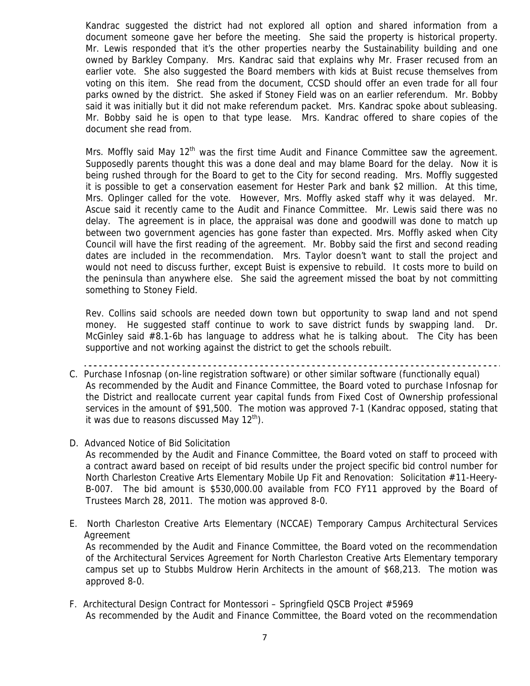Kandrac suggested the district had not explored all option and shared information from a document someone gave her before the meeting. She said the property is historical property. Mr. Lewis responded that it's the other properties nearby the Sustainability building and one owned by Barkley Company. Mrs. Kandrac said that explains why Mr. Fraser recused from an earlier vote. She also suggested the Board members with kids at Buist recuse themselves from voting on this item. She read from the document, CCSD should offer an even trade for all four parks owned by the district. She asked if Stoney Field was on an earlier referendum. Mr. Bobby said it was initially but it did not make referendum packet. Mrs. Kandrac spoke about subleasing. Mr. Bobby said he is open to that type lease. Mrs. Kandrac offered to share copies of the document she read from.

Mrs. Moffly said May  $12<sup>th</sup>$  was the first time Audit and Finance Committee saw the agreement. Supposedly parents thought this was a done deal and may blame Board for the delay. Now it is being rushed through for the Board to get to the City for second reading. Mrs. Moffly suggested it is possible to get a conservation easement for Hester Park and bank \$2 million. At this time, Mrs. Oplinger called for the vote. However, Mrs. Moffly asked staff why it was delayed. Mr. Ascue said it recently came to the Audit and Finance Committee. Mr. Lewis said there was no delay. The agreement is in place, the appraisal was done and goodwill was done to match up between two government agencies has gone faster than expected. Mrs. Moffly asked when City Council will have the first reading of the agreement. Mr. Bobby said the first and second reading dates are included in the recommendation. Mrs. Taylor doesn't want to stall the project and would not need to discuss further, except Buist is expensive to rebuild. It costs more to build on the peninsula than anywhere else. She said the agreement missed the boat by not committing something to Stoney Field.

Rev. Collins said schools are needed down town but opportunity to swap land and not spend money. He suggested staff continue to work to save district funds by swapping land. Dr. McGinley said #8.1-6b has language to address what he is talking about. The City has been supportive and not working against the district to get the schools rebuilt.

- C. Purchase Infosnap (on-line registration software) or other similar software (functionally equal) As recommended by the Audit and Finance Committee, the Board voted to purchase Infosnap for the District and reallocate current year capital funds from Fixed Cost of Ownership professional services in the amount of \$91,500. The motion was approved 7-1 (Kandrac opposed, stating that it was due to reasons discussed May  $12<sup>th</sup>$ .
- D. Advanced Notice of Bid Solicitation

As recommended by the Audit and Finance Committee, the Board voted on staff to proceed with a contract award based on receipt of bid results under the project specific bid control number for North Charleston Creative Arts Elementary Mobile Up Fit and Renovation: Solicitation #11-Heery-B-007. The bid amount is \$530,000.00 available from FCO FY11 approved by the Board of Trustees March 28, 2011. The motion was approved 8-0.

- E. North Charleston Creative Arts Elementary (NCCAE) Temporary Campus Architectural Services Agreement As recommended by the Audit and Finance Committee, the Board voted on the recommendation of the Architectural Services Agreement for North Charleston Creative Arts Elementary temporary campus set up to Stubbs Muldrow Herin Architects in the amount of \$68,213. The motion was approved 8-0.
- F. Architectural Design Contract for Montessori Springfield QSCB Project #5969 As recommended by the Audit and Finance Committee, the Board voted on the recommendation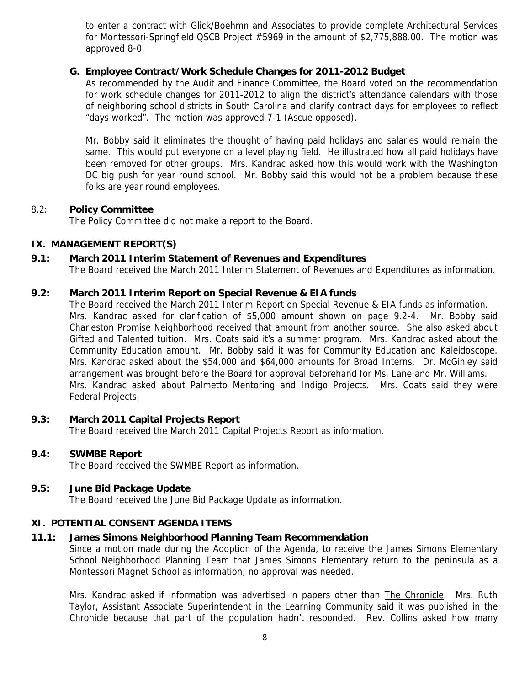to enter a contract with Glick/Boehmn and Associates to provide complete Architectural Services for Montessori-Springfield QSCB Project #5969 in the amount of \$2,775,888.00. The motion was approved 8-0.

### **G. Employee Contract/Work Schedule Changes for 2011-2012 Budget**

As recommended by the Audit and Finance Committee, the Board voted on the recommendation for work schedule changes for 2011-2012 to align the district's attendance calendars with those of neighboring school districts in South Carolina and clarify contract days for employees to reflect "days worked". The motion was approved 7-1 (Ascue opposed).

Mr. Bobby said it eliminates the thought of having paid holidays and salaries would remain the same. This would put everyone on a level playing field. He illustrated how all paid holidays have been removed for other groups. Mrs. Kandrac asked how this would work with the Washington DC big push for year round school. Mr. Bobby said this would not be a problem because these folks are year round employees.

#### 8.2: **Policy Committee**

The Policy Committee did not make a report to the Board.

#### **IX. MANAGEMENT REPORT(S)**

#### **9.1: March 2011 Interim Statement of Revenues and Expenditures**

The Board received the March 2011 Interim Statement of Revenues and Expenditures as information.

#### **9.2: March 2011 Interim Report on Special Revenue & EIA funds**

The Board received the March 2011 Interim Report on Special Revenue & EIA funds as information. Mrs. Kandrac asked for clarification of \$5,000 amount shown on page 9.2-4. Mr. Bobby said Charleston Promise Neighborhood received that amount from another source. She also asked about Gifted and Talented tuition. Mrs. Coats said it's a summer program. Mrs. Kandrac asked about the Community Education amount. Mr. Bobby said it was for Community Education and Kaleidoscope. Mrs. Kandrac asked about the \$54,000 and \$64,000 amounts for Broad Interns. Dr. McGinley said arrangement was brought before the Board for approval beforehand for Ms. Lane and Mr. Williams. Mrs. Kandrac asked about Palmetto Mentoring and Indigo Projects. Mrs. Coats said they were Federal Projects.

#### **9.3: March 2011 Capital Projects Report**

The Board received the March 2011 Capital Projects Report as information.

#### **9.4: SWMBE Report**

The Board received the SWMBE Report as information.

#### **9.5: June Bid Package Update**

The Board received the June Bid Package Update as information.

#### **XI. POTENTIAL CONSENT AGENDA ITEMS**

## **11.1: James Simons Neighborhood Planning Team Recommendation**

Since a motion made during the Adoption of the Agenda, to receive the James Simons Elementary School Neighborhood Planning Team that James Simons Elementary return to the peninsula as a Montessori Magnet School as information, no approval was needed.

Mrs. Kandrac asked if information was advertised in papers other than The Chronicle. Mrs. Ruth Taylor, Assistant Associate Superintendent in the Learning Community said it was published in the Chronicle because that part of the population hadn't responded. Rev. Collins asked how many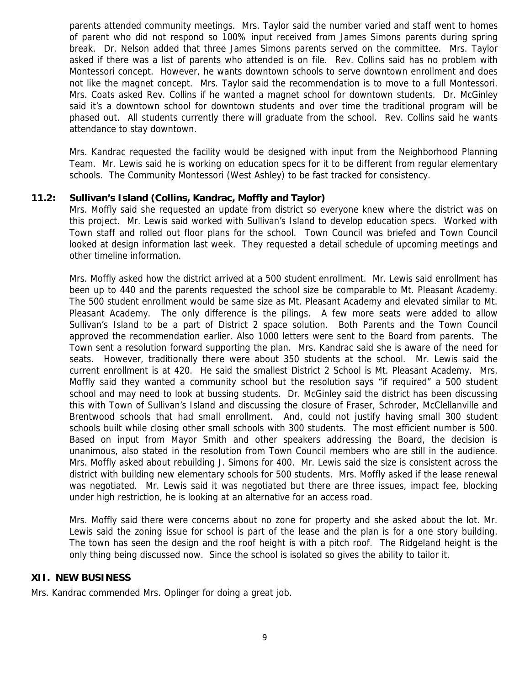parents attended community meetings. Mrs. Taylor said the number varied and staff went to homes of parent who did not respond so 100% input received from James Simons parents during spring break. Dr. Nelson added that three James Simons parents served on the committee. Mrs. Taylor asked if there was a list of parents who attended is on file. Rev. Collins said has no problem with Montessori concept. However, he wants downtown schools to serve downtown enrollment and does not like the magnet concept. Mrs. Taylor said the recommendation is to move to a full Montessori. Mrs. Coats asked Rev. Collins if he wanted a magnet school for downtown students. Dr. McGinley said it's a downtown school for downtown students and over time the traditional program will be phased out. All students currently there will graduate from the school. Rev. Collins said he wants attendance to stay downtown.

Mrs. Kandrac requested the facility would be designed with input from the Neighborhood Planning Team. Mr. Lewis said he is working on education specs for it to be different from regular elementary schools. The Community Montessori (West Ashley) to be fast tracked for consistency.

### **11.2: Sullivan's Island (Collins, Kandrac, Moffly and Taylor)**

Mrs. Moffly said she requested an update from district so everyone knew where the district was on this project. Mr. Lewis said worked with Sullivan's Island to develop education specs. Worked with Town staff and rolled out floor plans for the school. Town Council was briefed and Town Council looked at design information last week. They requested a detail schedule of upcoming meetings and other timeline information.

Mrs. Moffly asked how the district arrived at a 500 student enrollment. Mr. Lewis said enrollment has been up to 440 and the parents requested the school size be comparable to Mt. Pleasant Academy. The 500 student enrollment would be same size as Mt. Pleasant Academy and elevated similar to Mt. Pleasant Academy. The only difference is the pilings. A few more seats were added to allow Sullivan's Island to be a part of District 2 space solution. Both Parents and the Town Council approved the recommendation earlier. Also 1000 letters were sent to the Board from parents. The Town sent a resolution forward supporting the plan. Mrs. Kandrac said she is aware of the need for seats. However, traditionally there were about 350 students at the school. Mr. Lewis said the current enrollment is at 420. He said the smallest District 2 School is Mt. Pleasant Academy. Mrs. Moffly said they wanted a community school but the resolution says "if required" a 500 student school and may need to look at bussing students. Dr. McGinley said the district has been discussing this with Town of Sullivan's Island and discussing the closure of Fraser, Schroder, McClellanville and Brentwood schools that had small enrollment. And, could not justify having small 300 student schools built while closing other small schools with 300 students. The most efficient number is 500. Based on input from Mayor Smith and other speakers addressing the Board, the decision is unanimous, also stated in the resolution from Town Council members who are still in the audience. Mrs. Moffly asked about rebuilding J. Simons for 400. Mr. Lewis said the size is consistent across the district with building new elementary schools for 500 students. Mrs. Moffly asked if the lease renewal was negotiated. Mr. Lewis said it was negotiated but there are three issues, impact fee, blocking under high restriction, he is looking at an alternative for an access road.

Mrs. Moffly said there were concerns about no zone for property and she asked about the lot. Mr. Lewis said the zoning issue for school is part of the lease and the plan is for a one story building. The town has seen the design and the roof height is with a pitch roof. The Ridgeland height is the only thing being discussed now. Since the school is isolated so gives the ability to tailor it.

#### **XII. NEW BUSINESS**

Mrs. Kandrac commended Mrs. Oplinger for doing a great job.